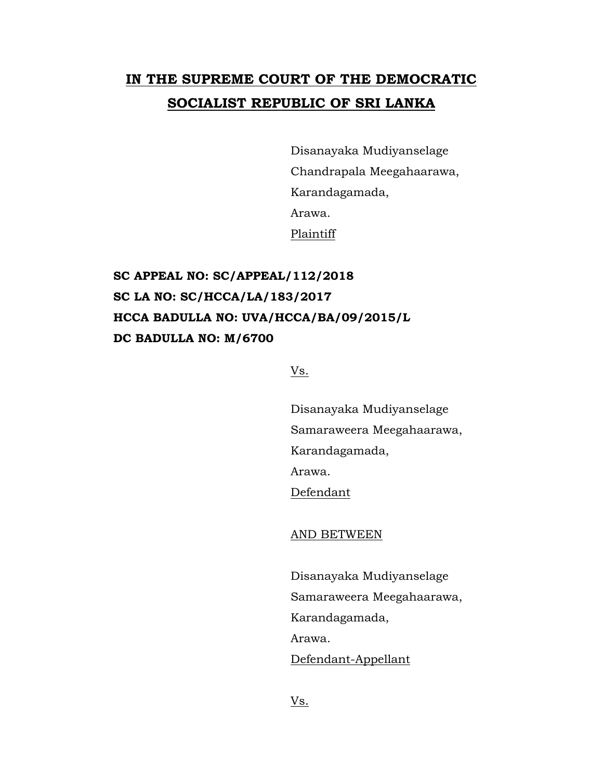## **IN THE SUPREME COURT OF THE DEMOCRATIC SOCIALIST REPUBLIC OF SRI LANKA**

Disanayaka Mudiyanselage Chandrapala Meegahaarawa, Karandagamada, Arawa. Plaintiff

**SC APPEAL NO: SC/APPEAL/112/2018 SC LA NO: SC/HCCA/LA/183/2017 HCCA BADULLA NO: UVA/HCCA/BA/09/2015/L DC BADULLA NO: M/6700**

Vs.

Disanayaka Mudiyanselage Samaraweera Meegahaarawa, Karandagamada, Arawa. Defendant

AND BETWEEN

Disanayaka Mudiyanselage Samaraweera Meegahaarawa, Karandagamada, Arawa. Defendant-Appellant

Vs.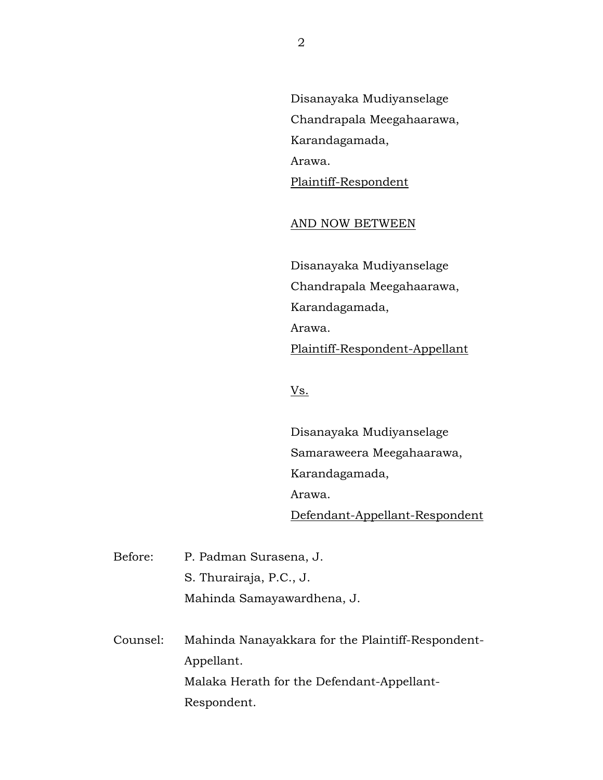Disanayaka Mudiyanselage Chandrapala Meegahaarawa, Karandagamada, Arawa. Plaintiff-Respondent

## AND NOW BETWEEN

Disanayaka Mudiyanselage Chandrapala Meegahaarawa, Karandagamada, Arawa. Plaintiff-Respondent-Appellant

Vs.

Disanayaka Mudiyanselage Samaraweera Meegahaarawa, Karandagamada, Arawa. Defendant-Appellant-Respondent

Before: P. Padman Surasena, J. S. Thurairaja, P.C., J. Mahinda Samayawardhena, J.

Counsel: Mahinda Nanayakkara for the Plaintiff-Respondent-Appellant. Malaka Herath for the Defendant-Appellant-Respondent.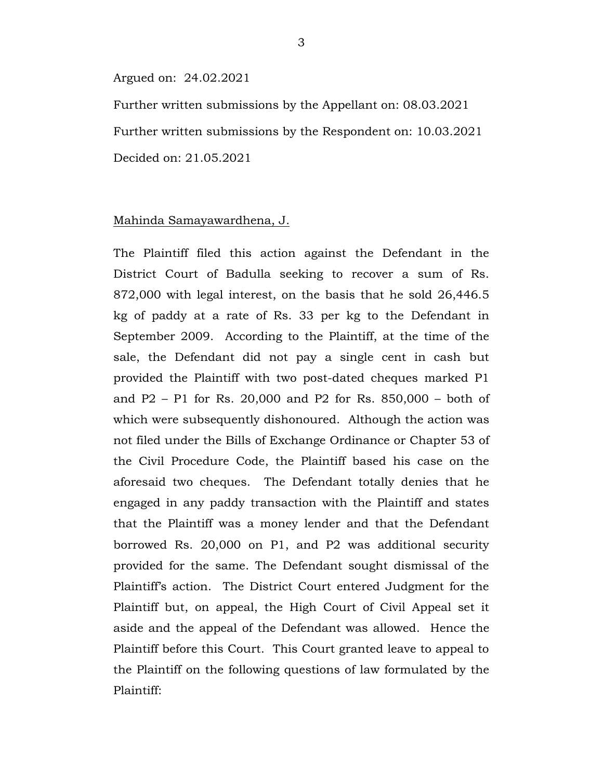## Argued on: 24.02.2021

Further written submissions by the Appellant on: 08.03.2021 Further written submissions by the Respondent on: 10.03.2021 Decided on: 21.05.2021

## Mahinda Samayawardhena, J.

The Plaintiff filed this action against the Defendant in the District Court of Badulla seeking to recover a sum of Rs. 872,000 with legal interest, on the basis that he sold 26,446.5 kg of paddy at a rate of Rs. 33 per kg to the Defendant in September 2009. According to the Plaintiff, at the time of the sale, the Defendant did not pay a single cent in cash but provided the Plaintiff with two post-dated cheques marked P1 and P2 – P1 for Rs. 20,000 and P2 for Rs. 850,000 – both of which were subsequently dishonoured. Although the action was not filed under the Bills of Exchange Ordinance or Chapter 53 of the Civil Procedure Code, the Plaintiff based his case on the aforesaid two cheques. The Defendant totally denies that he engaged in any paddy transaction with the Plaintiff and states that the Plaintiff was a money lender and that the Defendant borrowed Rs. 20,000 on P1, and P2 was additional security provided for the same. The Defendant sought dismissal of the Plaintiff's action. The District Court entered Judgment for the Plaintiff but, on appeal, the High Court of Civil Appeal set it aside and the appeal of the Defendant was allowed. Hence the Plaintiff before this Court. This Court granted leave to appeal to the Plaintiff on the following questions of law formulated by the Plaintiff: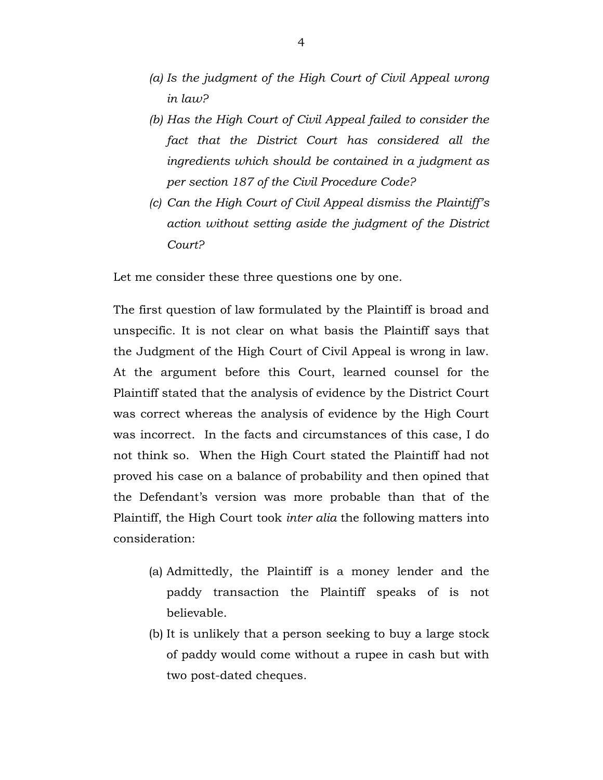- *(a) Is the judgment of the High Court of Civil Appeal wrong in law?*
- *(b) Has the High Court of Civil Appeal failed to consider the fact that the District Court has considered all the ingredients which should be contained in a judgment as per section 187 of the Civil Procedure Code?*
- *(c) Can the High Court of Civil Appeal dismiss the Plaintiff's action without setting aside the judgment of the District Court?*

Let me consider these three questions one by one.

The first question of law formulated by the Plaintiff is broad and unspecific. It is not clear on what basis the Plaintiff says that the Judgment of the High Court of Civil Appeal is wrong in law. At the argument before this Court, learned counsel for the Plaintiff stated that the analysis of evidence by the District Court was correct whereas the analysis of evidence by the High Court was incorrect. In the facts and circumstances of this case, I do not think so. When the High Court stated the Plaintiff had not proved his case on a balance of probability and then opined that the Defendant's version was more probable than that of the Plaintiff, the High Court took *inter alia* the following matters into consideration:

- (a) Admittedly, the Plaintiff is a money lender and the paddy transaction the Plaintiff speaks of is not believable.
- (b) It is unlikely that a person seeking to buy a large stock of paddy would come without a rupee in cash but with two post-dated cheques.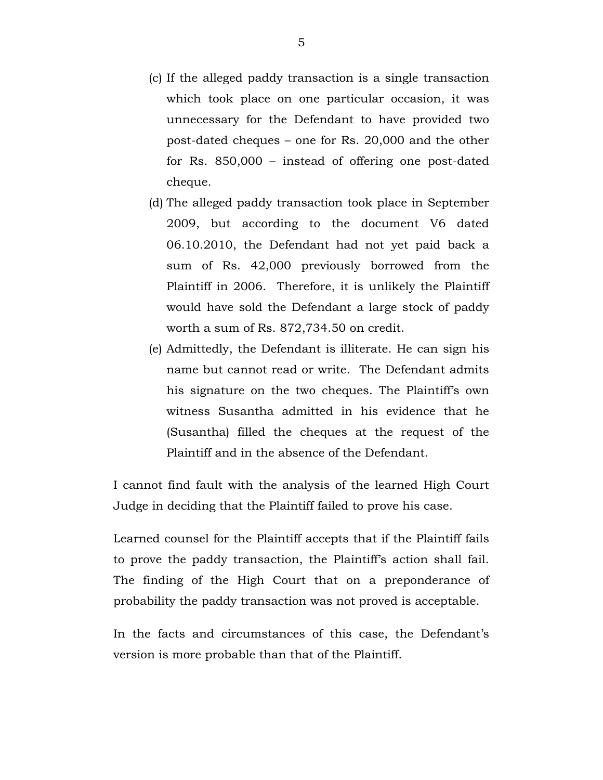- (c) If the alleged paddy transaction is a single transaction which took place on one particular occasion, it was unnecessary for the Defendant to have provided two post-dated cheques – one for Rs. 20,000 and the other for Rs. 850,000 – instead of offering one post-dated cheque.
- (d) The alleged paddy transaction took place in September 2009, but according to the document V6 dated 06.10.2010, the Defendant had not yet paid back a sum of Rs. 42,000 previously borrowed from the Plaintiff in 2006. Therefore, it is unlikely the Plaintiff would have sold the Defendant a large stock of paddy worth a sum of Rs. 872,734.50 on credit.
- (e) Admittedly, the Defendant is illiterate. He can sign his name but cannot read or write. The Defendant admits his signature on the two cheques. The Plaintiff's own witness Susantha admitted in his evidence that he (Susantha) filled the cheques at the request of the Plaintiff and in the absence of the Defendant.

I cannot find fault with the analysis of the learned High Court Judge in deciding that the Plaintiff failed to prove his case.

Learned counsel for the Plaintiff accepts that if the Plaintiff fails to prove the paddy transaction, the Plaintiff's action shall fail. The finding of the High Court that on a preponderance of probability the paddy transaction was not proved is acceptable.

In the facts and circumstances of this case, the Defendant's version is more probable than that of the Plaintiff.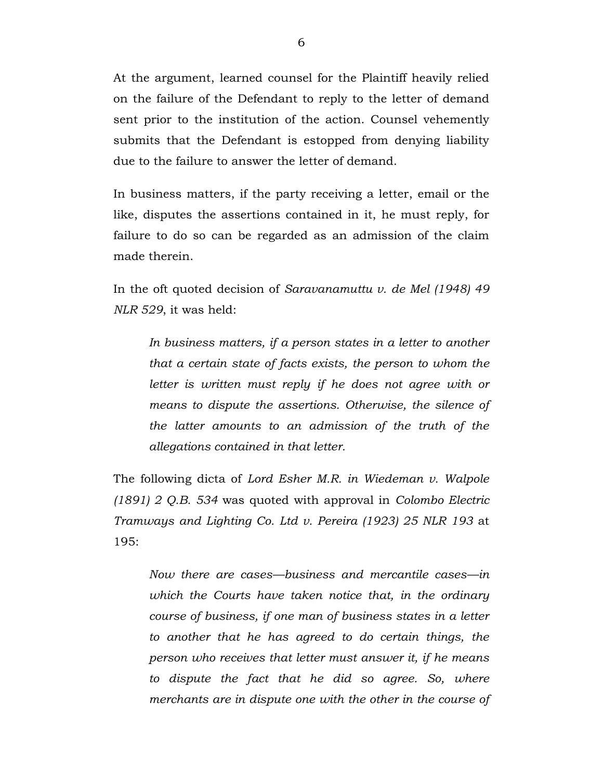At the argument, learned counsel for the Plaintiff heavily relied on the failure of the Defendant to reply to the letter of demand sent prior to the institution of the action. Counsel vehemently submits that the Defendant is estopped from denying liability due to the failure to answer the letter of demand.

In business matters, if the party receiving a letter, email or the like, disputes the assertions contained in it, he must reply, for failure to do so can be regarded as an admission of the claim made therein.

In the oft quoted decision of *Saravanamuttu v. de Mel (1948) 49 NLR 529*, it was held:

*In business matters, if a person states in a letter to another that a certain state of facts exists, the person to whom the letter is written must reply if he does not agree with or means to dispute the assertions. Otherwise, the silence of the latter amounts to an admission of the truth of the allegations contained in that letter.*

The following dicta of *Lord Esher M.R. in Wiedeman v. Walpole (1891) 2 Q.B. 534* was quoted with approval in *Colombo Electric Tramways and Lighting Co. Ltd v. Pereira (1923) 25 NLR 193* at 195:

*Now there are cases—business and mercantile cases—in which the Courts have taken notice that, in the ordinary course of business, if one man of business states in a letter to another that he has agreed to do certain things, the person who receives that letter must answer it, if he means to dispute the fact that he did so agree. So, where merchants are in dispute one with the other in the course of*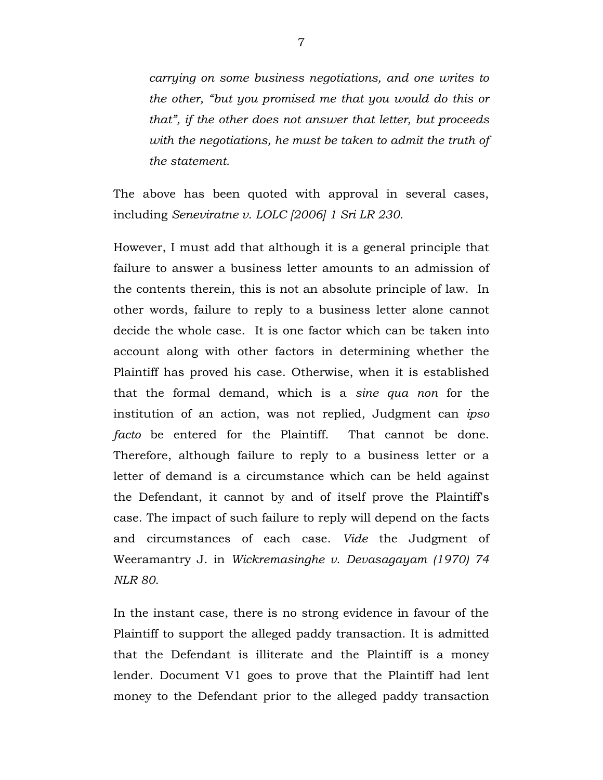*carrying on some business negotiations, and one writes to the other, "but you promised me that you would do this or that", if the other does not answer that letter, but proceeds with the negotiations, he must be taken to admit the truth of the statement.*

The above has been quoted with approval in several cases, including *Seneviratne v. LOLC [2006] 1 Sri LR 230.*

However, I must add that although it is a general principle that failure to answer a business letter amounts to an admission of the contents therein, this is not an absolute principle of law. In other words, failure to reply to a business letter alone cannot decide the whole case. It is one factor which can be taken into account along with other factors in determining whether the Plaintiff has proved his case. Otherwise, when it is established that the formal demand, which is a *sine qua non* for the institution of an action, was not replied, Judgment can *ipso facto* be entered for the Plaintiff. That cannot be done. Therefore, although failure to reply to a business letter or a letter of demand is a circumstance which can be held against the Defendant, it cannot by and of itself prove the Plaintiff's case. The impact of such failure to reply will depend on the facts and circumstances of each case. *Vide* the Judgment of Weeramantry J. in *Wickremasinghe v. Devasagayam (1970) 74 NLR 80*.

In the instant case, there is no strong evidence in favour of the Plaintiff to support the alleged paddy transaction. It is admitted that the Defendant is illiterate and the Plaintiff is a money lender. Document V1 goes to prove that the Plaintiff had lent money to the Defendant prior to the alleged paddy transaction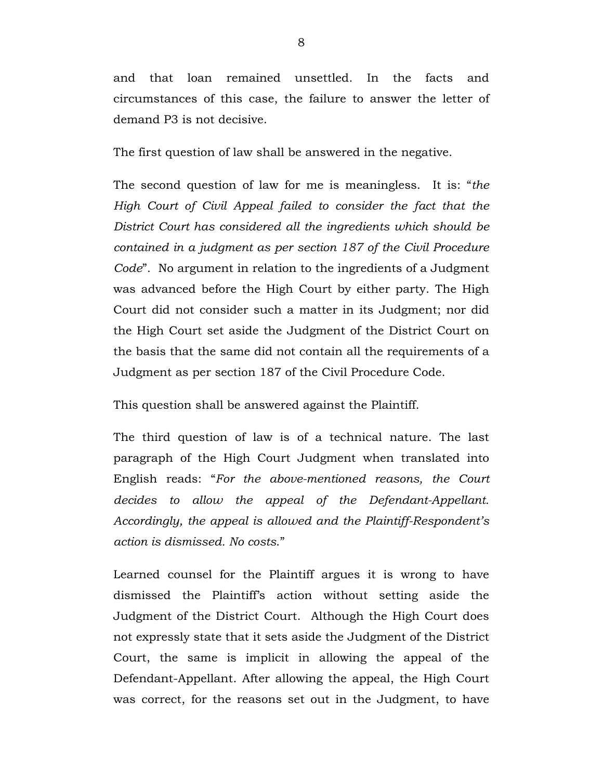and that loan remained unsettled. In the facts and circumstances of this case, the failure to answer the letter of demand P3 is not decisive.

The first question of law shall be answered in the negative.

The second question of law for me is meaningless. It is: "*the High Court of Civil Appeal failed to consider the fact that the District Court has considered all the ingredients which should be contained in a judgment as per section 187 of the Civil Procedure Code*". No argument in relation to the ingredients of a Judgment was advanced before the High Court by either party. The High Court did not consider such a matter in its Judgment; nor did the High Court set aside the Judgment of the District Court on the basis that the same did not contain all the requirements of a Judgment as per section 187 of the Civil Procedure Code.

This question shall be answered against the Plaintiff.

The third question of law is of a technical nature. The last paragraph of the High Court Judgment when translated into English reads: "*For the above-mentioned reasons, the Court decides to allow the appeal of the Defendant-Appellant. Accordingly, the appeal is allowed and the Plaintiff-Respondent's action is dismissed. No costs*."

Learned counsel for the Plaintiff argues it is wrong to have dismissed the Plaintiff's action without setting aside the Judgment of the District Court. Although the High Court does not expressly state that it sets aside the Judgment of the District Court, the same is implicit in allowing the appeal of the Defendant-Appellant. After allowing the appeal, the High Court was correct, for the reasons set out in the Judgment, to have